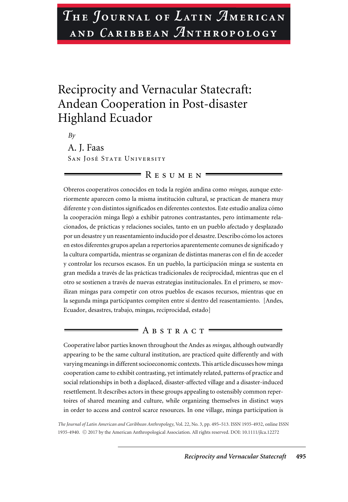# $T$ he Journal of Latin American AND  $\cal L$ ARIBBEAN  $\cal A$ NTHROPOLOGY

# Reciprocity and Vernacular Statecraft: Andean Cooperation in Post-disaster Highland Ecuador

*By* A. J. Faas SAN JOSÉ STATE UNIVERSITY

RESUMEN<sup>=</sup>

Obreros cooperativos conocidos en toda la región andina como *mingas*, aunque exteriormente aparecen como la misma institucion cultural, se practican de manera muy ´ diferente y con distintos significados en diferentes contextos. Este estudio analiza cómo la cooperación minga llegó a exhibir patrones contrastantes, pero íntimamente relacionados, de practicas y relaciones sociales, tanto en un pueblo afectado y desplazado ´ por un desastre y un reasentamiento inducido por el desastre. Describo cómo los actores en estos diferentes grupos apelan a repertorios aparentemente comunes de significado y la cultura compartida, mientras se organizan de distintas maneras con el fin de acceder y controlar los recursos escasos. En un pueblo, la participacion minga se sustenta en ´ gran medida a través de las prácticas tradicionales de reciprocidad, mientras que en el otro se sostienen a traves de nuevas estrategias institucionales. En el primero, se mov- ´ ilizan mingas para competir con otros pueblos de escasos recursos, mientras que en la segunda minga participantes compiten entre sí dentro del reasentamiento. [Andes, Ecuador, desastres, trabajo, mingas, reciprocidad, estado]

# ABSTRACT

Cooperative labor parties known throughout the Andes as *mingas*, although outwardly appearing to be the same cultural institution, are practiced quite differently and with varying meanings in different socioeconomic contexts. This article discusses how minga cooperation came to exhibit contrasting, yet intimately related, patterns of practice and social relationships in both a displaced, disaster-affected village and a disaster-induced resettlement. It describes actors in these groups appealing to ostensibly common repertoires of shared meaning and culture, while organizing themselves in distinct ways in order to access and control scarce resources. In one village, minga participation is

*The Journal of Latin American and Caribbean Anthropology*, Vol. 22, No. 3, pp. 495–513. ISSN 1935-4932, online ISSN 1935-4940.  $\odot$  2017 by the American Anthropological Association. All rights reserved. DOI: 10.1111/jlca.12272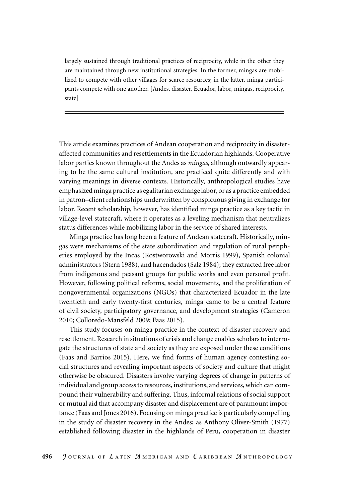largely sustained through traditional practices of reciprocity, while in the other they are maintained through new institutional strategies. In the former, mingas are mobilized to compete with other villages for scarce resources; in the latter, minga participants compete with one another. [Andes, disaster, Ecuador, labor, mingas, reciprocity, state]

This article examines practices of Andean cooperation and reciprocity in disasteraffected communities and resettlements in the Ecuadorian highlands. Cooperative labor parties known throughout the Andes as *mingas*, although outwardly appearing to be the same cultural institution, are practiced quite differently and with varying meanings in diverse contexts. Historically, anthropological studies have emphasized minga practice as egalitarian exchange labor, or as a practice embedded in patron–client relationships underwritten by conspicuous giving in exchange for labor. Recent scholarship, however, has identified minga practice as a key tactic in village-level statecraft, where it operates as a leveling mechanism that neutralizes status differences while mobilizing labor in the service of shared interests.

Minga practice has long been a feature of Andean statecraft. Historically, mingas were mechanisms of the state subordination and regulation of rural peripheries employed by the Incas (Rostworowski and Morris 1999), Spanish colonial administrators (Stern 1988), and hacendados (Salz 1984); they extracted free labor from indigenous and peasant groups for public works and even personal profit. However, following political reforms, social movements, and the proliferation of nongovernmental organizations (NGOs) that characterized Ecuador in the late twentieth and early twenty-first centuries, minga came to be a central feature of civil society, participatory governance, and development strategies (Cameron 2010; Colloredo-Mansfeld 2009; Faas 2015).

This study focuses on minga practice in the context of disaster recovery and resettlement. Research in situations of crisis and change enables scholars to interrogate the structures of state and society as they are exposed under these conditions (Faas and Barrios 2015). Here, we find forms of human agency contesting social structures and revealing important aspects of society and culture that might otherwise be obscured. Disasters involve varying degrees of change in patterns of individual and group access to resources, institutions, and services, which can compound their vulnerability and suffering. Thus, informal relations of social support or mutual aid that accompany disaster and displacement are of paramount importance (Faas and Jones 2016). Focusing on minga practice is particularly compelling in the study of disaster recovery in the Andes; as Anthony Oliver-Smith (1977) established following disaster in the highlands of Peru, cooperation in disaster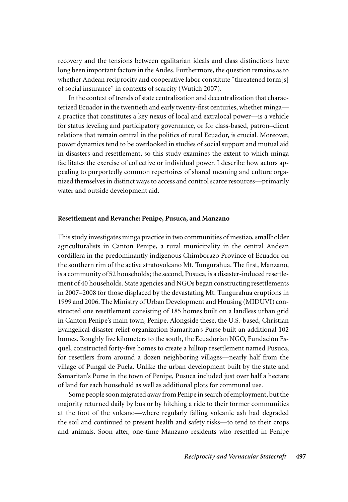recovery and the tensions between egalitarian ideals and class distinctions have long been important factors in the Andes. Furthermore, the question remains as to whether Andean reciprocity and cooperative labor constitute "threatened form[s] of social insurance" in contexts of scarcity (Wutich 2007).

In the context of trends of state centralization and decentralization that characterized Ecuador in the twentieth and early twenty-first centuries, whether minga a practice that constitutes a key nexus of local and extralocal power—is a vehicle for status leveling and participatory governance, or for class-based, patron–client relations that remain central in the politics of rural Ecuador, is crucial. Moreover, power dynamics tend to be overlooked in studies of social support and mutual aid in disasters and resettlement, so this study examines the extent to which minga facilitates the exercise of collective or individual power. I describe how actors appealing to purportedly common repertoires of shared meaning and culture organized themselves in distinct ways to access and control scarce resources—primarily water and outside development aid.

### **Resettlement and Revanche: Penipe, Pusuca, and Manzano**

This study investigates minga practice in two communities of mestizo, smallholder agriculturalists in Canton Penipe, a rural municipality in the central Andean cordillera in the predominantly indigenous Chimborazo Province of Ecuador on the southern rim of the active stratovolcano Mt. Tungurahua. The first, Manzano, is a community of 52 households; the second, Pusuca, is a disaster-induced resettlement of 40 households. State agencies and NGOs began constructing resettlements in 2007–2008 for those displaced by the devastating Mt. Tungurahua eruptions in 1999 and 2006. The Ministry of Urban Development and Housing (MIDUVI) constructed one resettlement consisting of 185 homes built on a landless urban grid in Canton Penipe's main town, Penipe. Alongside these, the U.S.-based, Christian Evangelical disaster relief organization Samaritan's Purse built an additional 102 homes. Roughly five kilometers to the south, the Ecuadorian NGO, Fundación Esquel, constructed forty-five homes to create a hilltop resettlement named Pusuca, for resettlers from around a dozen neighboring villages—nearly half from the village of Pungal de Puela. Unlike the urban development built by the state and Samaritan's Purse in the town of Penipe, Pusuca included just over half a hectare of land for each household as well as additional plots for communal use.

Some people soon migrated awayfrom Penipe in search of employment, but the majority returned daily by bus or by hitching a ride to their former communities at the foot of the volcano—where regularly falling volcanic ash had degraded the soil and continued to present health and safety risks—to tend to their crops and animals. Soon after, one-time Manzano residents who resettled in Penipe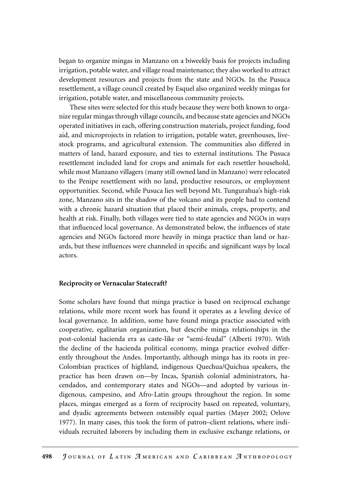began to organize mingas in Manzano on a biweekly basis for projects including irrigation, potable water, and village road maintenance; they also worked to attract development resources and projects from the state and NGOs. In the Pusuca resettlement, a village council created by Esquel also organized weekly mingas for irrigation, potable water, and miscellaneous community projects.

These sites were selected for this study because they were both known to organize regular mingas through village councils, and because state agencies and NGOs operated initiatives in each, offering construction materials, project funding, food aid, and microprojects in relation to irrigation, potable water, greenhouses, livestock programs, and agricultural extension. The communities also differed in matters of land, hazard exposure, and ties to external institutions. The Pusuca resettlement included land for crops and animals for each resettler household, while most Manzano villagers (many still owned land in Manzano) were relocated to the Penipe resettlement with no land, productive resources, or employment opportunities. Second, while Pusuca lies well beyond Mt. Tungurahua's high-risk zone, Manzano sits in the shadow of the volcano and its people had to contend with a chronic hazard situation that placed their animals, crops, property, and health at risk. Finally, both villages were tied to state agencies and NGOs in ways that influenced local governance. As demonstrated below, the influences of state agencies and NGOs factored more heavily in minga practice than land or hazards, but these influences were channeled in specific and significant ways by local actors.

## **Reciprocity or Vernacular Statecraft?**

Some scholars have found that minga practice is based on reciprocal exchange relations, while more recent work has found it operates as a leveling device of local governance. In addition, some have found minga practice associated with cooperative, egalitarian organization, but describe minga relationships in the post-colonial hacienda era as caste-like or "semi-feudal" (Alberti 1970). With the decline of the hacienda political economy, minga practice evolved differently throughout the Andes. Importantly, although minga has its roots in pre-Colombian practices of highland, indigenous Quechua/Quichua speakers, the practice has been drawn on—by Incas, Spanish colonial administrators, hacendados, and contemporary states and NGOs—and adopted by various indigenous, campesino, and Afro-Latin groups throughout the region. In some places, mingas emerged as a form of reciprocity based on repeated, voluntary, and dyadic agreements between ostensibly equal parties (Mayer 2002; Orlove 1977). In many cases, this took the form of patron–client relations, where individuals recruited laborers by including them in exclusive exchange relations, or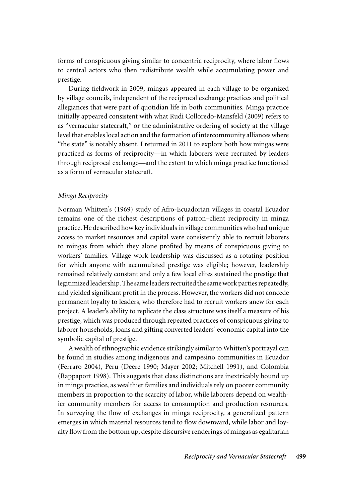forms of conspicuous giving similar to concentric reciprocity, where labor flows to central actors who then redistribute wealth while accumulating power and prestige.

During fieldwork in 2009, mingas appeared in each village to be organized by village councils, independent of the reciprocal exchange practices and political allegiances that were part of quotidian life in both communities. Minga practice initially appeared consistent with what Rudi Colloredo-Mansfeld (2009) refers to as "vernacular statecraft," or the administrative ordering of society at the village level that enables local action and the formation of intercommunity alliances where "the state" is notably absent. I returned in 2011 to explore both how mingas were practiced as forms of reciprocity—in which laborers were recruited by leaders through reciprocal exchange—and the extent to which minga practice functioned as a form of vernacular statecraft.

## *Minga Reciprocity*

Norman Whitten's (1969) study of Afro-Ecuadorian villages in coastal Ecuador remains one of the richest descriptions of patron–client reciprocity in minga practice. He described how key individuals in village communities who had unique access to market resources and capital were consistently able to recruit laborers to mingas from which they alone profited by means of conspicuous giving to workers' families. Village work leadership was discussed as a rotating position for which anyone with accumulated prestige was eligible; however, leadership remained relatively constant and only a few local elites sustained the prestige that legitimized leadership. The same leaders recruited the samework parties repeatedly, and yielded significant profit in the process. However, the workers did not concede permanent loyalty to leaders, who therefore had to recruit workers anew for each project. A leader's ability to replicate the class structure was itself a measure of his prestige, which was produced through repeated practices of conspicuous giving to laborer households; loans and gifting converted leaders' economic capital into the symbolic capital of prestige.

A wealth of ethnographic evidence strikingly similar to Whitten's portrayal can be found in studies among indigenous and campesino communities in Ecuador (Ferraro 2004), Peru (Deere 1990; Mayer 2002; Mitchell 1991), and Colombia (Rappaport 1998). This suggests that class distinctions are inextricably bound up in minga practice, as wealthier families and individuals rely on poorer community members in proportion to the scarcity of labor, while laborers depend on wealthier community members for access to consumption and production resources. In surveying the flow of exchanges in minga reciprocity, a generalized pattern emerges in which material resources tend to flow downward, while labor and loyalty flow from the bottom up, despite discursive renderings of mingas as egalitarian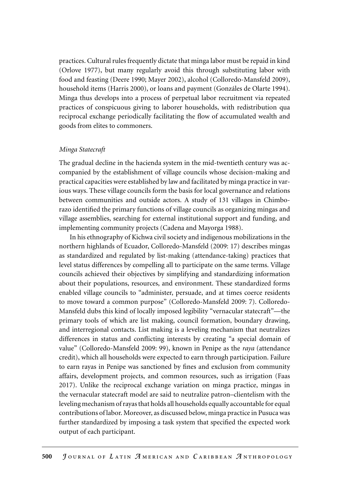practices. Cultural rules frequently dictate that minga labor must be repaid in kind (Orlove 1977), but many regularly avoid this through substituting labor with food and feasting (Deere 1990; Mayer 2002), alcohol (Colloredo-Mansfeld 2009), household items (Harris 2000), or loans and payment (Gonzáles de Olarte 1994). Minga thus develops into a process of perpetual labor recruitment via repeated practices of conspicuous giving to laborer households, with redistribution qua reciprocal exchange periodically facilitating the flow of accumulated wealth and goods from elites to commoners.

### *Minga Statecraft*

The gradual decline in the hacienda system in the mid-twentieth century was accompanied by the establishment of village councils whose decision-making and practical capacities were established by law and facilitated by minga practice in various ways. These village councils form the basis for local governance and relations between communities and outside actors. A study of 131 villages in Chimborazo identified the primary functions of village councils as organizing mingas and village assemblies, searching for external institutional support and funding, and implementing community projects (Cadena and Mayorga 1988).

In his ethnography of Kichwa civil society and indigenous mobilizations in the northern highlands of Ecuador, Colloredo-Mansfeld (2009: 17) describes mingas as standardized and regulated by list-making (attendance-taking) practices that level status differences by compelling all to participate on the same terms. Village councils achieved their objectives by simplifying and standardizing information about their populations, resources, and environment. These standardized forms enabled village councils to "administer, persuade, and at times coerce residents to move toward a common purpose" (Colloredo-Mansfeld 2009: 7). Colloredo-Mansfeld dubs this kind of locally imposed legibility "vernacular statecraft"—the primary tools of which are list making, council formation, boundary drawing, and interregional contacts. List making is a leveling mechanism that neutralizes differences in status and conflicting interests by creating "a special domain of value" (Colloredo-Mansfeld 2009: 99), known in Penipe as the *raya* (attendance credit), which all households were expected to earn through participation. Failure to earn rayas in Penipe was sanctioned by fines and exclusion from community affairs, development projects, and common resources, such as irrigation (Faas 2017). Unlike the reciprocal exchange variation on minga practice, mingas in the vernacular statecraft model are said to neutralize patron–clientelism with the leveling mechanism of rayas that holds all households equally accountable for equal contributions of labor. Moreover, as discussed below, minga practice in Pusuca was further standardized by imposing a task system that specified the expected work output of each participant.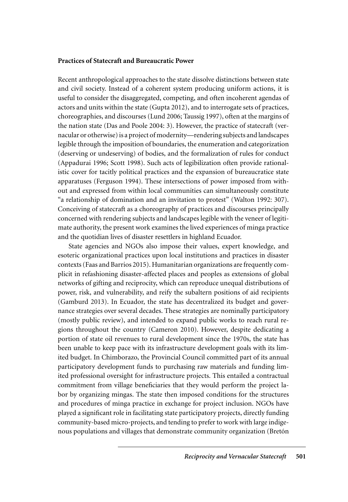## **Practices of Statecraft and Bureaucratic Power**

Recent anthropological approaches to the state dissolve distinctions between state and civil society. Instead of a coherent system producing uniform actions, it is useful to consider the disaggregated, competing, and often incoherent agendas of actors and units within the state (Gupta 2012), and to interrogate sets of practices, choreographies, and discourses (Lund 2006; Taussig 1997), often at the margins of the nation state (Das and Poole 2004: 3). However, the practice of statecraft (vernacular or otherwise) is a project of modernity—rendering subjects and landscapes legible through the imposition of boundaries, the enumeration and categorization (deserving or undeserving) of bodies, and the formalization of rules for conduct (Appadurai 1996; Scott 1998). Such acts of legibilization often provide rationalistic cover for tacitly political practices and the expansion of bureaucratice state apparatuses (Ferguson 1994). These intersections of power imposed from without and expressed from within local communities can simultaneously constitute "a relationship of domination and an invitation to protest" (Walton 1992: 307). Conceiving of statecraft as a choreography of practices and discourses principally concerned with rendering subjects and landscapes legible with the veneer of legitimate authority, the present work examines the lived experiences of minga practice and the quotidian lives of disaster resettlers in highland Ecuador.

State agencies and NGOs also impose their values, expert knowledge, and esoteric organizational practices upon local institutions and practices in disaster contexts (Faas and Barrios 2015). Humanitarian organizations are frequently complicit in refashioning disaster-affected places and peoples as extensions of global networks of gifting and reciprocity, which can reproduce unequal distributions of power, risk, and vulnerability, and reify the subaltern positions of aid recipients (Gamburd 2013). In Ecuador, the state has decentralized its budget and governance strategies over several decades. These strategies are nominally participatory (mostly public review), and intended to expand public works to reach rural regions throughout the country (Cameron 2010). However, despite dedicating a portion of state oil revenues to rural development since the 1970s, the state has been unable to keep pace with its infrastructure development goals with its limited budget. In Chimborazo, the Provincial Council committed part of its annual participatory development funds to purchasing raw materials and funding limited professional oversight for infrastructure projects. This entailed a contractual commitment from village beneficiaries that they would perform the project labor by organizing mingas. The state then imposed conditions for the structures and procedures of minga practice in exchange for project inclusion. NGOs have played a significant role in facilitating state participatory projects, directly funding community-based micro-projects, and tending to prefer to work with large indigenous populations and villages that demonstrate community organization (Bretón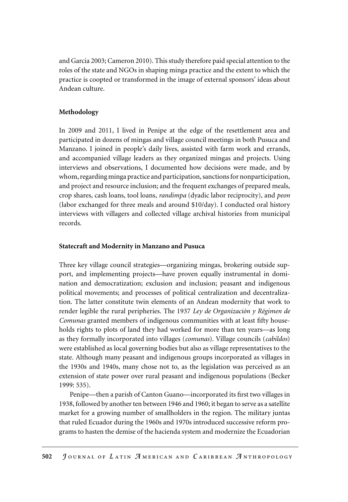and Garcia 2003; Cameron 2010). This study therefore paid special attention to the roles of the state and NGOs in shaping minga practice and the extent to which the practice is coopted or transformed in the image of external sponsors' ideas about Andean culture.

# **Methodology**

In 2009 and 2011, I lived in Penipe at the edge of the resettlement area and participated in dozens of mingas and village council meetings in both Pusuca and Manzano. I joined in people's daily lives, assisted with farm work and errands, and accompanied village leaders as they organized mingas and projects. Using interviews and observations, I documented how decisions were made, and by whom, regarding minga practice and participation, sanctions for nonparticipation, and project and resource inclusion; and the frequent exchanges of prepared meals, crop shares, cash loans, tool loans, *randimpa* (dyadic labor reciprocity), and *peon* (labor exchanged for three meals and around \$10/day). I conducted oral history interviews with villagers and collected village archival histories from municipal records.

# **Statecraft and Modernity in Manzano and Pusuca**

Three key village council strategies—organizing mingas, brokering outside support, and implementing projects—have proven equally instrumental in domination and democratization; exclusion and inclusion; peasant and indigenous political movements; and processes of political centralization and decentralization. The latter constitute twin elements of an Andean modernity that work to render legible the rural peripheries. The 1937 *Ley de Organizacion y R ´ ´egimen de Comunas* granted members of indigenous communities with at least fifty households rights to plots of land they had worked for more than ten years—as long as they formally incorporated into villages (*comunas*). Village councils (*cabildos*) were established as local governing bodies but also as village representatives to the state. Although many peasant and indigenous groups incorporated as villages in the 1930s and 1940s, many chose not to, as the legislation was perceived as an extension of state power over rural peasant and indigenous populations (Becker 1999: 535).

Penipe—then a parish of Canton Guano—incorporated its first two villages in 1938, followed by another ten between 1946 and 1960; it began to serve as a satellite market for a growing number of smallholders in the region. The military juntas that ruled Ecuador during the 1960s and 1970s introduced successive reform programs to hasten the demise of the hacienda system and modernize the Ecuadorian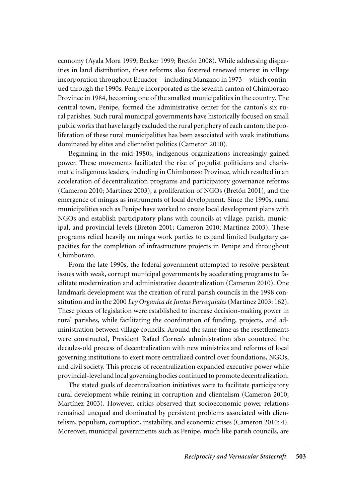economy (Ayala Mora 1999; Becker 1999; Bretón 2008). While addressing disparities in land distribution, these reforms also fostered renewed interest in village incorporation throughout Ecuador—including Manzano in 1973—which continued through the 1990s. Penipe incorporated as the seventh canton of Chimborazo Province in 1984, becoming one of the smallest municipalities in the country. The central town, Penipe, formed the administrative center for the canton's six rural parishes. Such rural municipal governments have historically focused on small public works that have largely excluded the rural periphery of each canton; the proliferation of these rural municipalities has been associated with weak institutions dominated by elites and clientelist politics (Cameron 2010).

Beginning in the mid-1980s, indigenous organizations increasingly gained power. These movements facilitated the rise of populist politicians and charismatic indigenous leaders, including in Chimborazo Province, which resulted in an acceleration of decentralization programs and participatory governance reforms (Cameron 2010; Martínez 2003), a proliferation of NGOs (Bretón 2001), and the emergence of mingas as instruments of local development. Since the 1990s, rural municipalities such as Penipe have worked to create local development plans with NGOs and establish participatory plans with councils at village, parish, municipal, and provincial levels (Bretón 2001; Cameron 2010; Martínez 2003). These programs relied heavily on minga work parties to expand limited budgetary capacities for the completion of infrastructure projects in Penipe and throughout Chimborazo.

From the late 1990s, the federal government attempted to resolve persistent issues with weak, corrupt municipal governments by accelerating programs to facilitate modernization and administrative decentralization (Cameron 2010). One landmark development was the creation of rural parish councils in the 1998 constitution and in the 2000 *Ley Organica de Juntas Parroquiales* (Martínez 2003: 162). These pieces of legislation were established to increase decision-making power in rural parishes, while facilitating the coordination of funding, projects, and administration between village councils. Around the same time as the resettlements were constructed, President Rafael Correa's administration also countered the decades-old process of decentralization with new ministries and reforms of local governing institutions to exert more centralized control over foundations, NGOs, and civil society. This process of recentralization expanded executive power while provincial-level and local governing bodies continued to promote decentralization.

The stated goals of decentralization initiatives were to facilitate participatory rural development while reining in corruption and clientelism (Cameron 2010; Martínez 2003). However, critics observed that socioeconomic power relations remained unequal and dominated by persistent problems associated with clientelism, populism, corruption, instability, and economic crises (Cameron 2010: 4). Moreover, municipal governments such as Penipe, much like parish councils, are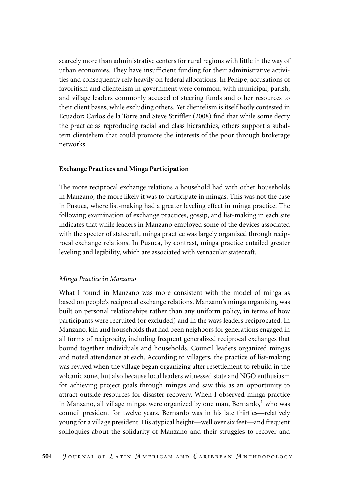scarcely more than administrative centers for rural regions with little in the way of urban economies. They have insufficient funding for their administrative activities and consequently rely heavily on federal allocations. In Penipe, accusations of favoritism and clientelism in government were common, with municipal, parish, and village leaders commonly accused of steering funds and other resources to their client bases, while excluding others. Yet clientelism is itself hotly contested in Ecuador; Carlos de la Torre and Steve Striffler (2008) find that while some decry the practice as reproducing racial and class hierarchies, others support a subaltern clientelism that could promote the interests of the poor through brokerage networks.

## **Exchange Practices and Minga Participation**

The more reciprocal exchange relations a household had with other households in Manzano, the more likely it was to participate in mingas. This was not the case in Pusuca, where list-making had a greater leveling effect in minga practice. The following examination of exchange practices, gossip, and list-making in each site indicates that while leaders in Manzano employed some of the devices associated with the specter of statecraft, minga practice was largely organized through reciprocal exchange relations. In Pusuca, by contrast, minga practice entailed greater leveling and legibility, which are associated with vernacular statecraft.

## *Minga Practice in Manzano*

What I found in Manzano was more consistent with the model of minga as based on people's reciprocal exchange relations. Manzano's minga organizing was built on personal relationships rather than any uniform policy, in terms of how participants were recruited (or excluded) and in the ways leaders reciprocated. In Manzano, kin and households that had been neighbors for generations engaged in all forms of reciprocity, including frequent generalized reciprocal exchanges that bound together individuals and households. Council leaders organized mingas and noted attendance at each. According to villagers, the practice of list-making was revived when the village began organizing after resettlement to rebuild in the volcanic zone, but also because local leaders witnessed state and NGO enthusiasm for achieving project goals through mingas and saw this as an opportunity to attract outside resources for disaster recovery. When I observed minga practice in Manzano, all village mingas were organized by one man, Bernardo, $1$  who was council president for twelve years. Bernardo was in his late thirties—relatively young for a village president. His atypical height—well over six feet—and frequent soliloquies about the solidarity of Manzano and their struggles to recover and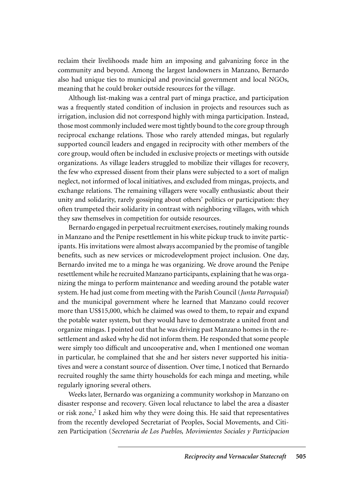reclaim their livelihoods made him an imposing and galvanizing force in the community and beyond. Among the largest landowners in Manzano, Bernardo also had unique ties to municipal and provincial government and local NGOs, meaning that he could broker outside resources for the village.

Although list-making was a central part of minga practice, and participation was a frequently stated condition of inclusion in projects and resources such as irrigation, inclusion did not correspond highly with minga participation. Instead, those most commonly included were most tightly bound to the core group through reciprocal exchange relations. Those who rarely attended mingas, but regularly supported council leaders and engaged in reciprocity with other members of the core group, would often be included in exclusive projects or meetings with outside organizations. As village leaders struggled to mobilize their villages for recovery, the few who expressed dissent from their plans were subjected to a sort of malign neglect, not informed of local initiatives, and excluded from mingas, projects, and exchange relations. The remaining villagers were vocally enthusiastic about their unity and solidarity, rarely gossiping about others' politics or participation: they often trumpeted their solidarity in contrast with neighboring villages, with which they saw themselves in competition for outside resources.

Bernardo engaged in perpetual recruitment exercises, routinely making rounds in Manzano and the Penipe resettlement in his white pickup truck to invite participants. His invitations were almost always accompanied by the promise of tangible benefits, such as new services or microdevelopment project inclusion. One day, Bernardo invited me to a minga he was organizing. We drove around the Penipe resettlement while he recruited Manzano participants, explaining that he was organizing the minga to perform maintenance and weeding around the potable water system. He had just come from meeting with the Parish Council (*Junta Parroquial*) and the municipal government where he learned that Manzano could recover more than US\$15,000, which he claimed was owed to them, to repair and expand the potable water system, but they would have to demonstrate a united front and organize mingas. I pointed out that he was driving past Manzano homes in the resettlement and asked why he did not inform them. He responded that some people were simply too difficult and uncooperative and, when I mentioned one woman in particular, he complained that she and her sisters never supported his initiatives and were a constant source of dissention. Over time, I noticed that Bernardo recruited roughly the same thirty households for each minga and meeting, while regularly ignoring several others.

Weeks later, Bernardo was organizing a community workshop in Manzano on disaster response and recovery. Given local reluctance to label the area a disaster or risk zone, $2$  I asked him why they were doing this. He said that representatives from the recently developed Secretariat of Peoples, Social Movements, and Citizen Participation (*Secretaria de Los Pueblos, Movimientos Sociales y Participacion*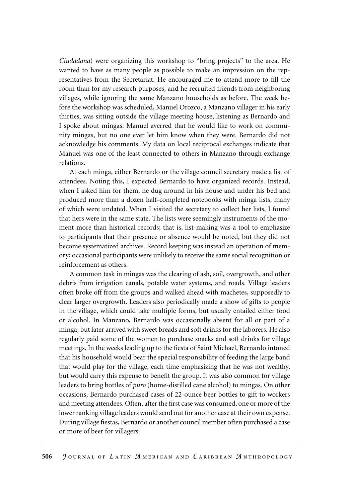*Ciudadana*) were organizing this workshop to "bring projects" to the area. He wanted to have as many people as possible to make an impression on the representatives from the Secretariat. He encouraged me to attend more to fill the room than for my research purposes, and he recruited friends from neighboring villages, while ignoring the same Manzano households as before. The week before the workshop was scheduled, Manuel Orozco, a Manzano villager in his early thirties, was sitting outside the village meeting house, listening as Bernardo and I spoke about mingas. Manuel averred that he would like to work on community mingas, but no one ever let him know when they were. Bernardo did not acknowledge his comments. My data on local reciprocal exchanges indicate that Manuel was one of the least connected to others in Manzano through exchange relations.

At each minga, either Bernardo or the village council secretary made a list of attendees. Noting this, I expected Bernardo to have organized records. Instead, when I asked him for them, he dug around in his house and under his bed and produced more than a dozen half-completed notebooks with minga lists, many of which were undated. When I visited the secretary to collect her lists, I found that hers were in the same state. The lists were seemingly instruments of the moment more than historical records; that is, list-making was a tool to emphasize to participants that their presence or absence would be noted, but they did not become systematized archives. Record keeping was instead an operation of memory; occasional participants were unlikely to receive the same social recognition or reinforcement as others.

A common task in mingas was the clearing of ash, soil, overgrowth, and other debris from irrigation canals, potable water systems, and roads. Village leaders often broke off from the groups and walked ahead with machetes, supposedly to clear larger overgrowth. Leaders also periodically made a show of gifts to people in the village, which could take multiple forms, but usually entailed either food or alcohol. In Manzano, Bernardo was occasionally absent for all or part of a minga, but later arrived with sweet breads and soft drinks for the laborers. He also regularly paid some of the women to purchase snacks and soft drinks for village meetings. In the weeks leading up to the fiesta of Saint Michael, Bernardo intoned that his household would bear the special responsibility of feeding the large band that would play for the village, each time emphasizing that he was not wealthy, but would carry this expense to benefit the group. It was also common for village leaders to bring bottles of *puro* (home-distilled cane alcohol) to mingas. On other occasions, Bernardo purchased cases of 22-ounce beer bottles to gift to workers and meeting attendees. Often, after the first case was consumed, one or more of the lower ranking village leaders would send out for another case at their own expense. During village fiestas, Bernardo or another council member often purchased a case or more of beer for villagers.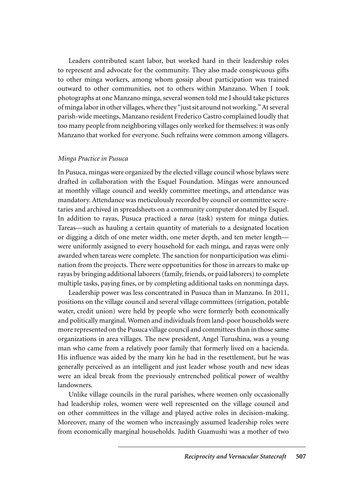Leaders contributed scant labor, but worked hard in their leadership roles to represent and advocate for the community. They also made conspicuous gifts to other minga workers, among whom gossip about participation was trained outward to other communities, not to others within Manzano. When I took photographs at one Manzano minga, several women told me I should take pictures of minga labor in other villages, where they "just sit around not working." At several parish-wide meetings, Manzano resident Frederico Castro complained loudly that too many people from neighboring villages only worked for themselves: it was only Manzano that worked for everyone. Such refrains were common among villagers.

## *Minga Practice in Pusuca*

In Pusuca, mingas were organized by the elected village council whose bylaws were drafted in collaboration with the Esquel Foundation. Mingas were announced at monthly village council and weekly committee meetings, and attendance was mandatory. Attendance was meticulously recorded by council or committee secretaries and archived in spreadsheets on a community computer donated by Esquel. In addition to rayas, Pusuca practiced a *tarea* (task) system for minga duties. Tareas—such as hauling a certain quantity of materials to a designated location or digging a ditch of one meter width, one meter depth, and ten meter length were uniformly assigned to every household for each minga, and rayas were only awarded when tareas were complete. The sanction for nonparticipation was elimination from the projects. There were opportunities for those in arrears to make up rayas by bringing additional laborers (family, friends, or paid laborers) to complete multiple tasks, paying fines, or by completing additional tasks on nonminga days.

Leadership power was less concentrated in Pusuca than in Manzano. In 2011, positions on the village council and several village committees (irrigation, potable water, credit union) were held by people who were formerly both economically and politically marginal. Women and individuals from land-poor households were more represented on the Pusuca village council and committees than in those same organizations in area villages. The new president, Angel Turushina, was a young man who came from a relatively poor family that formerly lived on a hacienda. His influence was aided by the many kin he had in the resettlement, but he was generally perceived as an intelligent and just leader whose youth and new ideas were an ideal break from the previously entrenched political power of wealthy landowners.

Unlike village councils in the rural parishes, where women only occasionally had leadership roles, women were well represented on the village council and on other committees in the village and played active roles in decision-making. Moreover, many of the women who increasingly assumed leadership roles were from economically marginal households. Judith Guamushi was a mother of two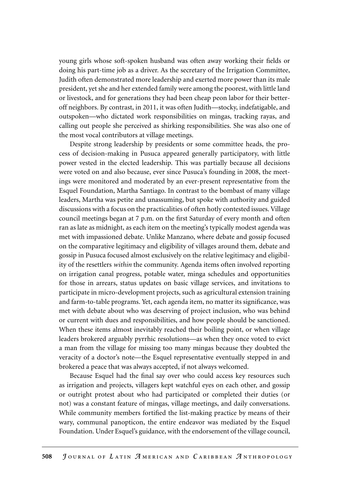young girls whose soft-spoken husband was often away working their fields or doing his part-time job as a driver. As the secretary of the Irrigation Committee, Judith often demonstrated more leadership and exerted more power than its male president, yet she and her extended family were among the poorest, with little land or livestock, and for generations they had been cheap peon labor for their betteroff neighbors. By contrast, in 2011, it was often Judith—stocky, indefatigable, and outspoken—who dictated work responsibilities on mingas, tracking rayas, and calling out people she perceived as shirking responsibilities. She was also one of the most vocal contributors at village meetings.

Despite strong leadership by presidents or some committee heads, the process of decision-making in Pusuca appeared generally participatory, with little power vested in the elected leadership. This was partially because all decisions were voted on and also because, ever since Pusuca's founding in 2008, the meetings were monitored and moderated by an ever-present representative from the Esquel Foundation, Martha Santiago. In contrast to the bombast of many village leaders, Martha was petite and unassuming, but spoke with authority and guided discussions with a focus on the practicalities of often hotly contested issues. Village council meetings began at 7 p.m. on the first Saturday of every month and often ran as late as midnight, as each item on the meeting's typically modest agenda was met with impassioned debate. Unlike Manzano, where debate and gossip focused on the comparative legitimacy and eligibility of villages around them, debate and gossip in Pusuca focused almost exclusively on the relative legitimacy and eligibility of the resettlers *within* the community. Agenda items often involved reporting on irrigation canal progress, potable water, minga schedules and opportunities for those in arrears, status updates on basic village services, and invitations to participate in micro-development projects, such as agricultural extension training and farm-to-table programs. Yet, each agenda item, no matter its significance, was met with debate about who was deserving of project inclusion, who was behind or current with dues and responsibilities, and how people should be sanctioned. When these items almost inevitably reached their boiling point, or when village leaders brokered arguably pyrrhic resolutions—as when they once voted to evict a man from the village for missing too many mingas because they doubted the veracity of a doctor's note—the Esquel representative eventually stepped in and brokered a peace that was always accepted, if not always welcomed.

Because Esquel had the final say over who could access key resources such as irrigation and projects, villagers kept watchful eyes on each other, and gossip or outright protest about who had participated or completed their duties (or not) was a constant feature of mingas, village meetings, and daily conversations. While community members fortified the list-making practice by means of their wary, communal panopticon, the entire endeavor was mediated by the Esquel Foundation. Under Esquel's guidance, with the endorsement of the village council,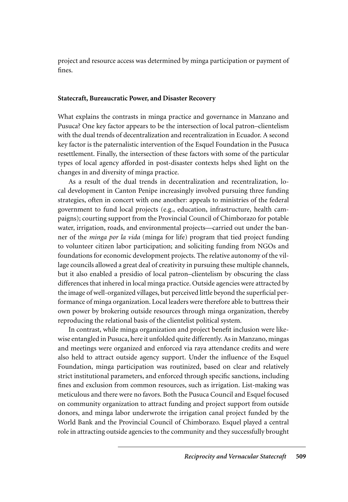project and resource access was determined by minga participation or payment of fines.

### **Statecraft, Bureaucratic Power, and Disaster Recovery**

What explains the contrasts in minga practice and governance in Manzano and Pusuca? One key factor appears to be the intersection of local patron–clientelism with the dual trends of decentralization and recentralization in Ecuador. A second key factor is the paternalistic intervention of the Esquel Foundation in the Pusuca resettlement. Finally, the intersection of these factors with some of the particular types of local agency afforded in post-disaster contexts helps shed light on the changes in and diversity of minga practice.

As a result of the dual trends in decentralization and recentralization, local development in Canton Penipe increasingly involved pursuing three funding strategies, often in concert with one another: appeals to ministries of the federal government to fund local projects (e.g., education, infrastructure, health campaigns); courting support from the Provincial Council of Chimborazo for potable water, irrigation, roads, and environmental projects—carried out under the banner of the *minga por la vida* (minga for life) program that tied project funding to volunteer citizen labor participation; and soliciting funding from NGOs and foundations for economic development projects. The relative autonomy of the village councils allowed a great deal of creativity in pursuing these multiple channels, but it also enabled a presidio of local patron–clientelism by obscuring the class differences that inhered in local minga practice. Outside agencies were attracted by the image of well-organized villages, but perceived little beyond the superficial performance of minga organization. Local leaders were therefore able to buttress their own power by brokering outside resources through minga organization, thereby reproducing the relational basis of the clientelist political system.

In contrast, while minga organization and project benefit inclusion were likewise entangled in Pusuca, here it unfolded quite differently. As in Manzano, mingas and meetings were organized and enforced via raya attendance credits and were also held to attract outside agency support. Under the influence of the Esquel Foundation, minga participation was routinized, based on clear and relatively strict institutional parameters, and enforced through specific sanctions, including fines and exclusion from common resources, such as irrigation. List-making was meticulous and there were no favors. Both the Pusuca Council and Esquel focused on community organization to attract funding and project support from outside donors, and minga labor underwrote the irrigation canal project funded by the World Bank and the Provincial Council of Chimborazo. Esquel played a central role in attracting outside agencies to the community and they successfully brought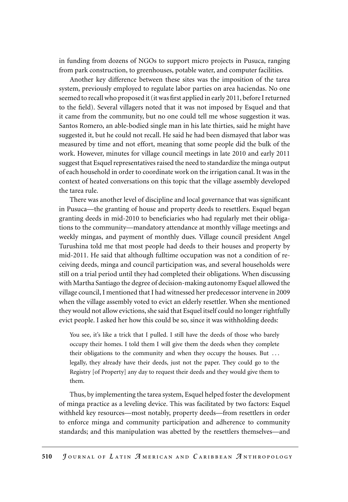in funding from dozens of NGOs to support micro projects in Pusuca, ranging from park construction, to greenhouses, potable water, and computer facilities.

Another key difference between these sites was the imposition of the tarea system, previously employed to regulate labor parties on area haciendas. No one seemed to recall who proposed it (it was first applied in early 2011, before I returned to the field). Several villagers noted that it was not imposed by Esquel and that it came from the community, but no one could tell me whose suggestion it was. Santos Romero, an able-bodied single man in his late thirties, said he might have suggested it, but he could not recall. He said he had been dismayed that labor was measured by time and not effort, meaning that some people did the bulk of the work. However, minutes for village council meetings in late 2010 and early 2011 suggest that Esquel representatives raised the need to standardize the minga output of each household in order to coordinate work on the irrigation canal. It was in the context of heated conversations on this topic that the village assembly developed the tarea rule.

There was another level of discipline and local governance that was significant in Pusuca—the granting of house and property deeds to resettlers. Esquel began granting deeds in mid-2010 to beneficiaries who had regularly met their obligations to the community—mandatory attendance at monthly village meetings and weekly mingas, and payment of monthly dues. Village council president Angel Turushina told me that most people had deeds to their houses and property by mid-2011. He said that although fulltime occupation was not a condition of receiving deeds, minga and council participation was, and several households were still on a trial period until they had completed their obligations. When discussing with Martha Santiago the degree of decision-making autonomy Esquel allowed the village council, I mentioned that I had witnessed her predecessor intervene in 2009 when the village assembly voted to evict an elderly resettler. When she mentioned they would not allow evictions, she said that Esquel itself could no longer rightfully evict people. I asked her how this could be so, since it was withholding deeds:

You see, it's like a trick that I pulled. I still have the deeds of those who barely occupy their homes. I told them I will give them the deeds when they complete their obligations to the community and when they occupy the houses. But ... legally, they already have their deeds, just not the paper. They could go to the Registry [of Property] any day to request their deeds and they would give them to them.

Thus, by implementing the tarea system, Esquel helped foster the development of minga practice as a leveling device. This was facilitated by two factors: Esquel withheld key resources—most notably, property deeds—from resettlers in order to enforce minga and community participation and adherence to community standards; and this manipulation was abetted by the resettlers themselves—and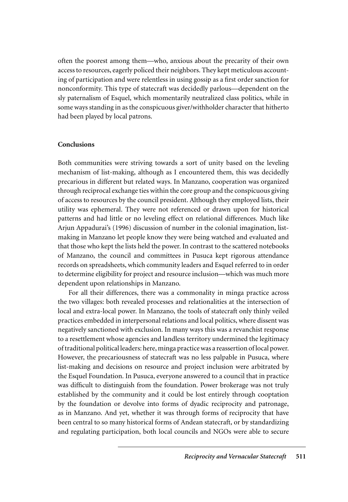often the poorest among them—who, anxious about the precarity of their own access to resources, eagerly policed their neighbors. They kept meticulous accounting of participation and were relentless in using gossip as a first order sanction for nonconformity. This type of statecraft was decidedly parlous—dependent on the sly paternalism of Esquel, which momentarily neutralized class politics, while in some ways standing in as the conspicuous giver/withholder character that hitherto had been played by local patrons.

## **Conclusions**

Both communities were striving towards a sort of unity based on the leveling mechanism of list-making, although as I encountered them, this was decidedly precarious in different but related ways. In Manzano, cooperation was organized through reciprocal exchange ties within the core group and the conspicuous giving of access to resources by the council president. Although they employed lists, their utility was ephemeral. They were not referenced or drawn upon for historical patterns and had little or no leveling effect on relational differences. Much like Arjun Appadurai's (1996) discussion of number in the colonial imagination, listmaking in Manzano let people know they were being watched and evaluated and that those who kept the lists held the power. In contrast to the scattered notebooks of Manzano, the council and committees in Pusuca kept rigorous attendance records on spreadsheets, which community leaders and Esquel referred to in order to determine eligibility for project and resource inclusion—which was much more dependent upon relationships in Manzano.

For all their differences, there was a commonality in minga practice across the two villages: both revealed processes and relationalities at the intersection of local and extra-local power. In Manzano, the tools of statecraft only thinly veiled practices embedded in interpersonal relations and local politics, where dissent was negatively sanctioned with exclusion. In many ways this was a revanchist response to a resettlement whose agencies and landless territory undermined the legitimacy of traditional political leaders: here, minga practice was a reassertion of local power. However, the precariousness of statecraft was no less palpable in Pusuca, where list-making and decisions on resource and project inclusion were arbitrated by the Esquel Foundation. In Pusuca, everyone answered to a council that in practice was difficult to distinguish from the foundation. Power brokerage was not truly established by the community and it could be lost entirely through cooptation by the foundation or devolve into forms of dyadic reciprocity and patronage, as in Manzano. And yet, whether it was through forms of reciprocity that have been central to so many historical forms of Andean statecraft, or by standardizing and regulating participation, both local councils and NGOs were able to secure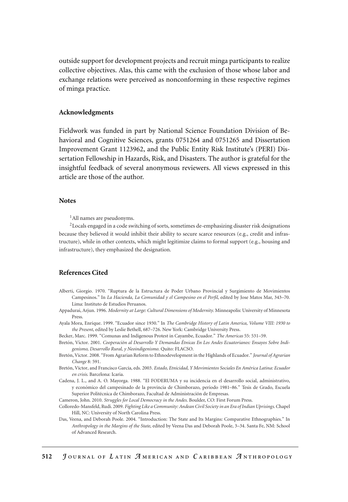outside support for development projects and recruit minga participants to realize collective objectives. Alas, this came with the exclusion of those whose labor and exchange relations were perceived as nonconforming in these respective regimes of minga practice.

#### **Acknowledgments**

Fieldwork was funded in part by National Science Foundation Division of Behavioral and Cognitive Sciences, grants 0751264 and 0751265 and Dissertation Improvement Grant 1123962, and the Public Entity Risk Institute's (PERI) Dissertation Fellowship in Hazards, Risk, and Disasters. The author is grateful for the insightful feedback of several anonymous reviewers. All views expressed in this article are those of the author.

#### **Notes**

<sup>1</sup>All names are pseudonyms.

 $2$ Locals engaged in a code switching of sorts, sometimes de-emphasizing disaster risk designations because they believed it would inhibit their ability to secure scarce resources (e.g., credit and infrastructure), while in other contexts, which might legitimize claims to formal support (e.g., housing and infrastructure), they emphasized the designation.

### **References Cited**

- Alberti, Giorgio. 1970. "Ruptura de la Estructura de Poder Urbano Provincial y Surgimiento de Movimientos Campesinos." In *La Hacienda, La Comunidad y el Campesino en el Perfil*, edited by Jose Matos Mar, 343–70. Lima: Instituto de Estudios Peruanos.
- Appadurai, Arjun. 1996. *Modernity at Large: Cultural Dimensions of Modernity*. Minneapolis: University of Minnesota Press.
- Ayala Mora, Enrique. 1999. "Ecuador since 1930." In *The Cambridge History of Latin America, Volume VIII: 1930 to the Present*, edited by Leslie Bethell, 687–726. New York: Cambridge University Press.
- Becker, Marc. 1999. "Comunas and Indigenous Protest in Cayambe, Ecuador." *The Americas* 55: 531–59.
- Bretón, Víctor. 2001. *Cooperación al Desarrollo Y Demandas Étnicas En Los Andes Ecuatorianos: Ensayos Sobre Indigenismo, Desarrollo Rural, y Neoindigenismo*. Quito: FLACSO.
- Bretón, Víctor. 2008. "From Agrarian Reform to Ethnodevelopment in the Highlands of Ecuador." *Journal of Agrarian Change* 8: 591.
- Bretón, Víctor, and Francisco García, eds. 2003. *Estado, Etnicidad, Y Movimientos Sociales En América Latina: Ecuador en crisis*. Barcelona: Icaria.
- Cadena, J. L., and A. O. Mayorga. 1988. "El FODERUMA y su incidencia en el desarrollo social, administrativo, y económico del campesinado de la provincia de Chimborazo, periodo 1981-86." Tesis de Grado, Escuela Superior Politécnica de Chimborazo, Facultad de Administración de Empresas.
- Cameron, John. 2010. *Struggles for Local Democracy in the Andes*. Boulder, CO: First Forum Press.
- Colloredo-Mansfeld, Rudi. 2009. *Fighting Like a Community: Andean Civil Society in an Era of Indian Uprisings*. Chapel Hill, NC: University of North Carolina Press.
- Das, Veena, and Deborah Poole. 2004. "Introduction: The State and Its Margins: Comparative Ethnographies." In *Anthropology in the Margins of the State*, edited by Veena Das and Deborah Poole, 3–34. Santa Fe, NM: School of Advanced Research.